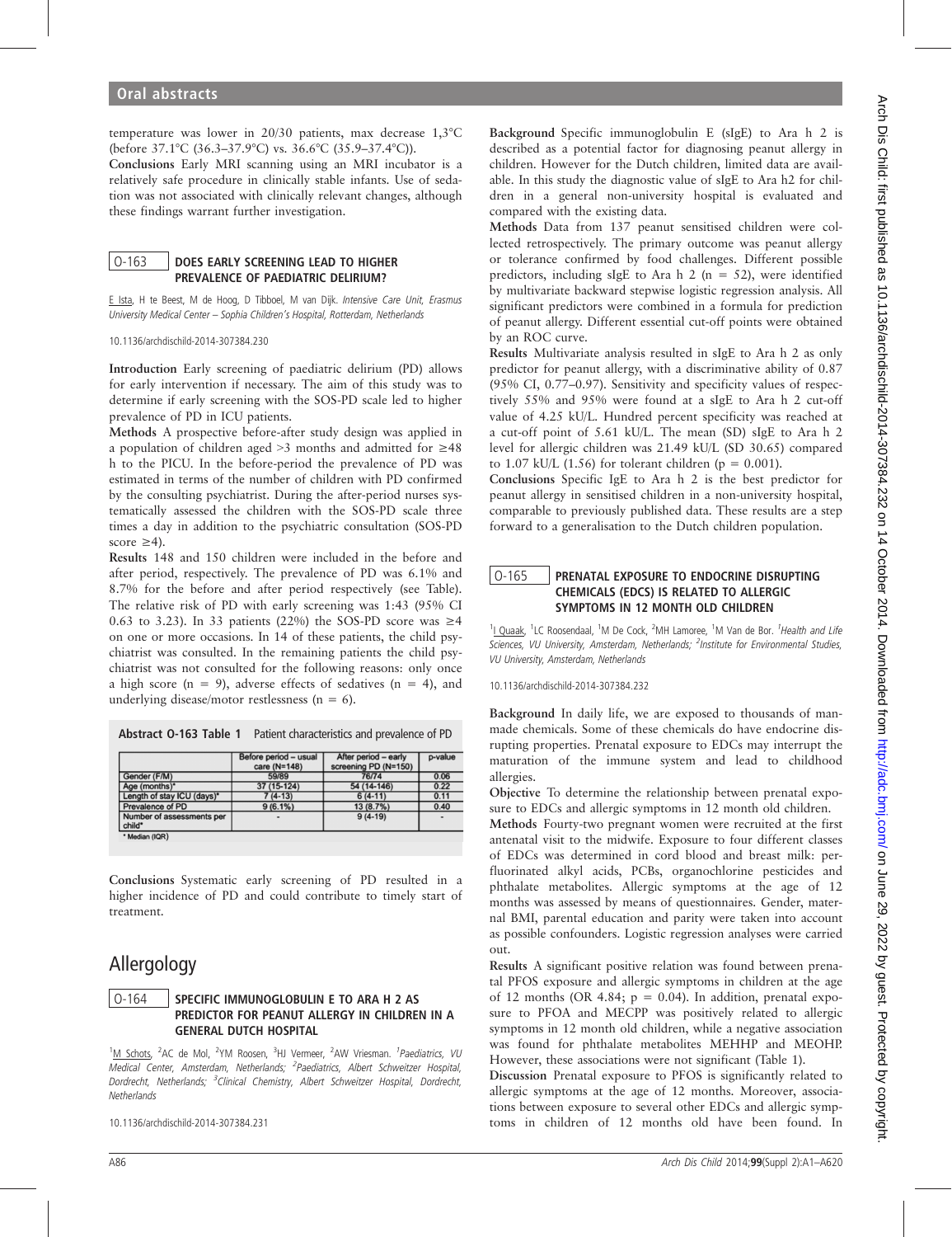temperature was lower in 20/30 patients, max decrease 1,3°C (before 37.1°C (36.3–37.9°C) vs. 36.6°C (35.9–37.4°C)).

Conclusions Early MRI scanning using an MRI incubator is a relatively safe procedure in clinically stable infants. Use of sedation was not associated with clinically relevant changes, although these findings warrant further investigation.

## O-163 DOES EARLY SCREENING LEAD TO HIGHER PREVALENCE OF PAEDIATRIC DELIRIUM?

E Ista, H te Beest, M de Hoog, D Tibboel, M van Dijk. Intensive Care Unit, Erasmus University Medical Center – Sophia Children's Hospital, Rotterdam, Netherlands

10.1136/archdischild-2014-307384.230

Introduction Early screening of paediatric delirium (PD) allows for early intervention if necessary. The aim of this study was to determine if early screening with the SOS-PD scale led to higher prevalence of PD in ICU patients.

Methods A prospective before-after study design was applied in a population of children aged >3 months and admitted for ≥48 h to the PICU. In the before-period the prevalence of PD was estimated in terms of the number of children with PD confirmed by the consulting psychiatrist. During the after-period nurses systematically assessed the children with the SOS-PD scale three times a day in addition to the psychiatric consultation (SOS-PD score  $\geq 4$ ).

Results 148 and 150 children were included in the before and after period, respectively. The prevalence of PD was 6.1% and 8.7% for the before and after period respectively (see Table). The relative risk of PD with early screening was 1:43 (95% CI 0.63 to 3.23). In 33 patients (22%) the SOS-PD score was  $\geq$ 4 on one or more occasions. In 14 of these patients, the child psychiatrist was consulted. In the remaining patients the child psychiatrist was not consulted for the following reasons: only once a high score ( $n = 9$ ), adverse effects of sedatives ( $n = 4$ ), and underlying disease/motor restlessness ( $n = 6$ ).

|                                     | Before period - usual<br>care (N=148) | After period - early<br>screening PD (N=150) | p-value |
|-------------------------------------|---------------------------------------|----------------------------------------------|---------|
| Gender (F/M)                        | 59/89                                 | 76/74                                        | 0.06    |
| Age (months)*                       | 37 (15-124)                           | 54 (14-146)                                  | 0.22    |
| Length of stay ICU (days)*          | $7(4-13)$                             | $6(4-11)$                                    | 0.11    |
| Prevalence of PD                    | 9(6.1%)                               | 13 (8.7%)                                    | 0.40    |
| Number of assessments per<br>child* | -                                     | $9(4-19)$                                    |         |
| * Median (IQR)                      |                                       |                                              |         |

Conclusions Systematic early screening of PD resulted in a higher incidence of PD and could contribute to timely start of treatment.

# Allergology

# O-164 | SPECIFIC IMMUNOGLOBULIN E TO ARA H 2 AS PREDICTOR FOR PEANUT ALLERGY IN CHILDREN IN A GENERAL DUTCH HOSPITAL

<sup>1</sup>M Schots, <sup>2</sup>AC de Mol, <sup>2</sup>YM Roosen, <sup>3</sup>HJ Vermeer, <sup>2</sup>AW Vriesman. <sup>1</sup>Paediatrics, VU Medical Center, Amsterdam, Netherlands; <sup>2</sup>Paediatrics, Albert Schweitzer Hospital, Dordrecht, Netherlands; <sup>3</sup>Clinical Chemistry, Albert Schweitzer Hospital, Dordrecht, **Netherlands** 

10.1136/archdischild-2014-307384.231

Background Specific immunoglobulin E (sIgE) to Ara h 2 is described as a potential factor for diagnosing peanut allergy in children. However for the Dutch children, limited data are available. In this study the diagnostic value of sIgE to Ara h2 for children in a general non-university hospital is evaluated and compared with the existing data.

Methods Data from 137 peanut sensitised children were collected retrospectively. The primary outcome was peanut allergy or tolerance confirmed by food challenges. Different possible predictors, including sIgE to Ara h 2 ( $n = 52$ ), were identified by multivariate backward stepwise logistic regression analysis. All significant predictors were combined in a formula for prediction of peanut allergy. Different essential cut-off points were obtained by an ROC curve.

Results Multivariate analysis resulted in sIgE to Ara h 2 as only predictor for peanut allergy, with a discriminative ability of 0.87 (95% CI, 0.77–0.97). Sensitivity and specificity values of respectively 55% and 95% were found at a sIgE to Ara h 2 cut-off value of 4.25 kU/L. Hundred percent specificity was reached at a cut-off point of 5.61 kU/L. The mean (SD) sIgE to Ara h 2 level for allergic children was 21.49 kU/L (SD 30.65) compared to 1.07 kU/L (1.56) for tolerant children ( $p = 0.001$ ).

Conclusions Specific IgE to Ara h 2 is the best predictor for peanut allergy in sensitised children in a non-university hospital, comparable to previously published data. These results are a step forward to a generalisation to the Dutch children population.

## O-165 PRENATAL EXPOSURE TO ENDOCRINE DISRUPTING CHEMICALS (EDCS) IS RELATED TO ALLERGIC SYMPTOMS IN 12 MONTH OLD CHILDREN

<sup>1</sup>L Quaak, <sup>1</sup>LC Roosendaal, <sup>1</sup>M De Cock, <sup>2</sup>MH Lamoree, <sup>1</sup>M Van de Bor. <sup>1</sup>Health and Life Sciences, VU University, Amsterdam, Netherlands; <sup>2</sup>Institute for Environmental Studies, VU University, Amsterdam, Netherlands

10.1136/archdischild-2014-307384.232

Background In daily life, we are exposed to thousands of manmade chemicals. Some of these chemicals do have endocrine disrupting properties. Prenatal exposure to EDCs may interrupt the maturation of the immune system and lead to childhood allergies.

Objective To determine the relationship between prenatal exposure to EDCs and allergic symptoms in 12 month old children.

Methods Fourty-two pregnant women were recruited at the first antenatal visit to the midwife. Exposure to four different classes of EDCs was determined in cord blood and breast milk: perfluorinated alkyl acids, PCBs, organochlorine pesticides and phthalate metabolites. Allergic symptoms at the age of 12 months was assessed by means of questionnaires. Gender, maternal BMI, parental education and parity were taken into account as possible confounders. Logistic regression analyses were carried out.

Results A significant positive relation was found between prenatal PFOS exposure and allergic symptoms in children at the age of 12 months (OR 4.84;  $p = 0.04$ ). In addition, prenatal exposure to PFOA and MECPP was positively related to allergic symptoms in 12 month old children, while a negative association was found for phthalate metabolites MEHHP and MEOHP. However, these associations were not significant (Table 1).

Discussion Prenatal exposure to PFOS is significantly related to allergic symptoms at the age of 12 months. Moreover, associations between exposure to several other EDCs and allergic symptoms in children of 12 months old have been found. In